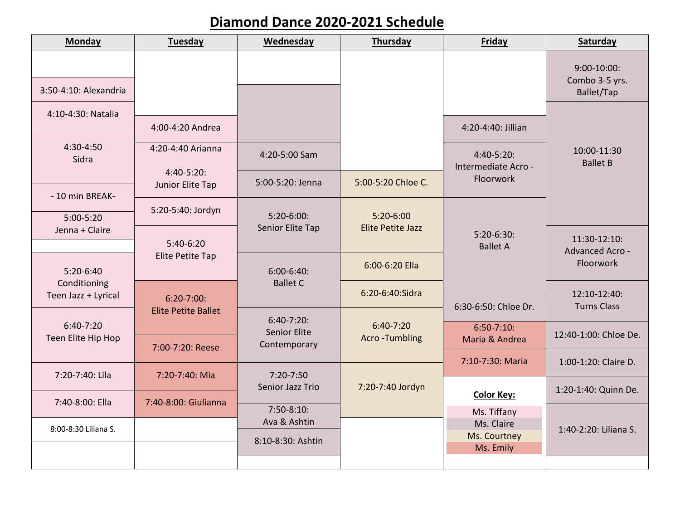## **Diamond Dance 2020-2021 Schedule**

| <b>Monday</b>                                    | Tuesday                            | Wednesday                                        | Thursday                            | Friday                            | Saturday                                     |
|--------------------------------------------------|------------------------------------|--------------------------------------------------|-------------------------------------|-----------------------------------|----------------------------------------------|
|                                                  |                                    |                                                  |                                     |                                   | $9:00-10:00$ :<br>Combo 3-5 yrs.             |
| 3:50-4:10: Alexandria                            |                                    |                                                  |                                     |                                   | Ballet/Tap                                   |
| 4:10-4:30: Natalia                               |                                    |                                                  |                                     |                                   |                                              |
|                                                  | 4:00-4:20 Andrea                   |                                                  |                                     | 4:20-4:40: Jillian                |                                              |
| 4:30-4:50<br>Sidra                               | 4:20-4:40 Arianna<br>$4:40-5:20$ : | 4:20-5:00 Sam                                    |                                     | 4:40-5:20:<br>Intermediate Acro - | 10:00-11:30<br><b>Ballet B</b>               |
|                                                  | Junior Elite Tap                   | 5:00-5:20: Jenna                                 | 5:00-5:20 Chloe C.                  | Floorwork                         |                                              |
| - 10 min BREAK-                                  | 5:20-5:40: Jordyn                  |                                                  |                                     |                                   |                                              |
| $5:00-5:20$<br>Jenna + Claire                    |                                    | $5:20-6:00$ :<br>Senior Elite Tap                | $5:20-6:00$<br>Elite Petite Jazz    |                                   |                                              |
|                                                  | $5:40-6:20$                        |                                                  |                                     | $5:20-6:30:$<br><b>Ballet A</b>   | 11:30-12:10:<br>Advanced Acro -<br>Floorwork |
| 5:20-6:40<br>Conditioning<br>Teen Jazz + Lyrical | Elite Petite Tap                   | $6:00 - 6:40:$<br><b>Ballet C</b>                | 6:00-6:20 Ella                      |                                   |                                              |
|                                                  | $6:20-7:00$ :                      |                                                  | 6:20-6:40:Sidra                     |                                   | 12:10-12:40:                                 |
|                                                  | <b>Elite Petite Ballet</b>         | $6:40-7:20$ :                                    |                                     | 6:30-6:50: Chloe Dr.              | <b>Turns Class</b>                           |
| $6:40-7:20$<br>Teen Elite Hip Hop                |                                    | <b>Senior Elite</b>                              | $6:40-7:20$<br><b>Acro-Tumbling</b> | $6:50-7:10$<br>Maria & Andrea     | 12:40-1:00: Chloe De.                        |
|                                                  | 7:00-7:20: Reese                   | Contemporary                                     |                                     | 7:10-7:30: Maria                  |                                              |
| 7:20-7:40: Lila                                  | 7:20-7:40: Mia                     | $7:20 - 7:50$<br>Senior Jazz Trio<br>$7:50-8:10$ | 7:20-7:40 Jordyn                    |                                   | 1:00-1:20: Claire D.                         |
|                                                  |                                    |                                                  |                                     | <b>Color Key:</b>                 | 1:20-1:40: Quinn De.                         |
| 7:40-8:00: Ella                                  | 7:40-8:00: Giulianna               |                                                  |                                     | Ms. Tiffany                       | 1:40-2:20: Liliana S.                        |
| 8:00-8:30 Liliana S.                             |                                    | Ava & Ashtin<br>8:10-8:30: Ashtin                |                                     | Ms. Claire                        |                                              |
|                                                  |                                    |                                                  |                                     | Ms. Courtney<br>Ms. Emily         |                                              |
|                                                  |                                    |                                                  |                                     |                                   |                                              |